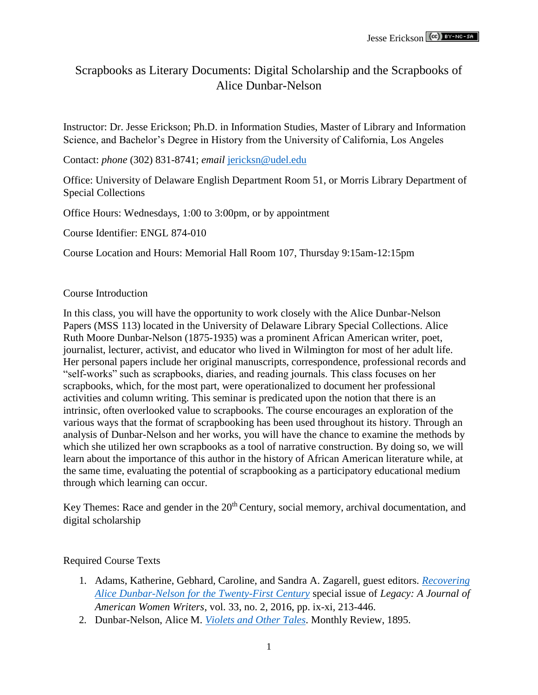# Scrapbooks as Literary Documents: Digital Scholarship and the Scrapbooks of Alice Dunbar-Nelson

Instructor: Dr. Jesse Erickson; Ph.D. in Information Studies, Master of Library and Information Science, and Bachelor's Degree in History from the University of California, Los Angeles

Contact: *phone* (302) 831-8741; *email* [jericksn@udel.edu](mailto:jericksn@udel.edu)

Office: University of Delaware English Department Room 51, or Morris Library Department of Special Collections

Office Hours: Wednesdays, 1:00 to 3:00pm, or by appointment

Course Identifier: ENGL 874-010

Course Location and Hours: Memorial Hall Room 107, Thursday 9:15am-12:15pm

#### Course Introduction

In this class, you will have the opportunity to work closely with the Alice Dunbar-Nelson Papers (MSS 113) located in the University of Delaware Library Special Collections. Alice Ruth Moore Dunbar-Nelson (1875-1935) was a prominent African American writer, poet, journalist, lecturer, activist, and educator who lived in Wilmington for most of her adult life. Her personal papers include her original manuscripts, correspondence, professional records and "self-works" such as scrapbooks, diaries, and reading journals. This class focuses on her scrapbooks, which, for the most part, were operationalized to document her professional activities and column writing. This seminar is predicated upon the notion that there is an intrinsic, often overlooked value to scrapbooks. The course encourages an exploration of the various ways that the format of scrapbooking has been used throughout its history. Through an analysis of Dunbar-Nelson and her works, you will have the chance to examine the methods by which she utilized her own scrapbooks as a tool of narrative construction. By doing so, we will learn about the importance of this author in the history of African American literature while, at the same time, evaluating the potential of scrapbooking as a participatory educational medium through which learning can occur.

Key Themes: Race and gender in the  $20<sup>th</sup>$  Century, social memory, archival documentation, and digital scholarship

#### Required Course Texts

- 1. Adams, Katherine, Gebhard, Caroline, and Sandra A. Zagarell, guest editors. *[Recovering](http://muse.jhu.edu/issue/35683) [Alice Dunbar-Nelson for the Twenty-First Century](http://muse.jhu.edu/issue/35683)* special issue of *Legacy: A Journal of American Women Writers*, vol. 33, no. 2, 2016, pp. ix-xi, 213-446.
- 2. Dunbar-Nelson, Alice M. *[Violets and Other Tales](https://archive.org/details/violetsandothert18713gut)*. Monthly Review, 1895.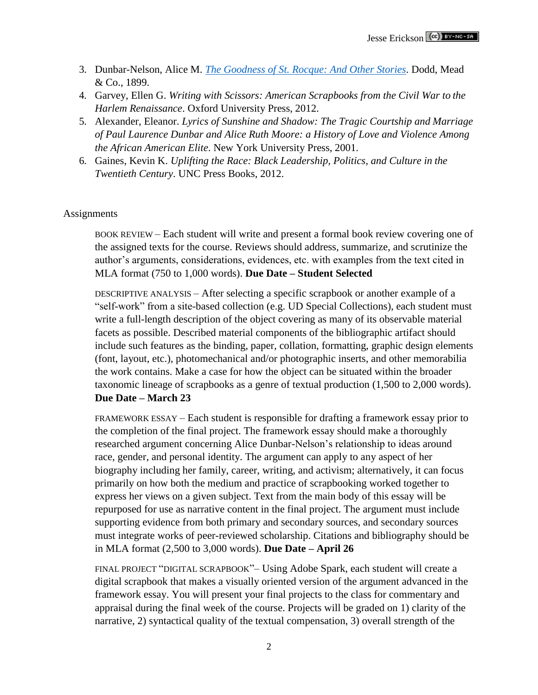- 3. Dunbar-Nelson, Alice M. *[The Goodness of St. Rocque: And Other Stories](https://babel.hathitrust.org/cgi/pt?id=hvd.hn35p2%3Bview%3D1up%3Bseq%3D1)*. Dodd, Mead & Co., 1899.
- 4. Garvey, Ellen G. *Writing with Scissors: American Scrapbooks from the Civil War to the Harlem Renaissance*. Oxford University Press, 2012.
- 5. Alexander, Eleanor. *Lyrics of Sunshine and Shadow: The Tragic Courtship and Marriage of Paul Laurence Dunbar and Alice Ruth Moore: a History of Love and Violence Among the African American Elite*. New York University Press, 2001.
- 6. Gaines, Kevin K. *Uplifting the Race: Black Leadership, Politics, and Culture in the Twentieth Century*. UNC Press Books, 2012.

#### **Assignments**

BOOK REVIEW – Each student will write and present a formal book review covering one of the assigned texts for the course. Reviews should address, summarize, and scrutinize the author's arguments, considerations, evidences, etc. with examples from the text cited in MLA format (750 to 1,000 words). **Due Date – Student Selected**

DESCRIPTIVE ANALYSIS – After selecting a specific scrapbook or another example of a "self-work" from a site-based collection (e.g. UD Special Collections), each student must write a full-length description of the object covering as many of its observable material facets as possible. Described material components of the bibliographic artifact should include such features as the binding, paper, collation, formatting, graphic design elements (font, layout, etc.), photomechanical and/or photographic inserts, and other memorabilia the work contains. Make a case for how the object can be situated within the broader taxonomic lineage of scrapbooks as a genre of textual production (1,500 to 2,000 words). **Due Date – March 23**

FRAMEWORK ESSAY – Each student is responsible for drafting a framework essay prior to the completion of the final project. The framework essay should make a thoroughly researched argument concerning Alice Dunbar-Nelson's relationship to ideas around race, gender, and personal identity. The argument can apply to any aspect of her biography including her family, career, writing, and activism; alternatively, it can focus primarily on how both the medium and practice of scrapbooking worked together to express her views on a given subject. Text from the main body of this essay will be repurposed for use as narrative content in the final project. The argument must include supporting evidence from both primary and secondary sources, and secondary sources must integrate works of peer-reviewed scholarship. Citations and bibliography should be in MLA format (2,500 to 3,000 words). **Due Date – April 26**

FINAL PROJECT "DIGITAL SCRAPBOOK"– Using Adobe Spark, each student will create a digital scrapbook that makes a visually oriented version of the argument advanced in the framework essay. You will present your final projects to the class for commentary and appraisal during the final week of the course. Projects will be graded on 1) clarity of the narrative, 2) syntactical quality of the textual compensation, 3) overall strength of the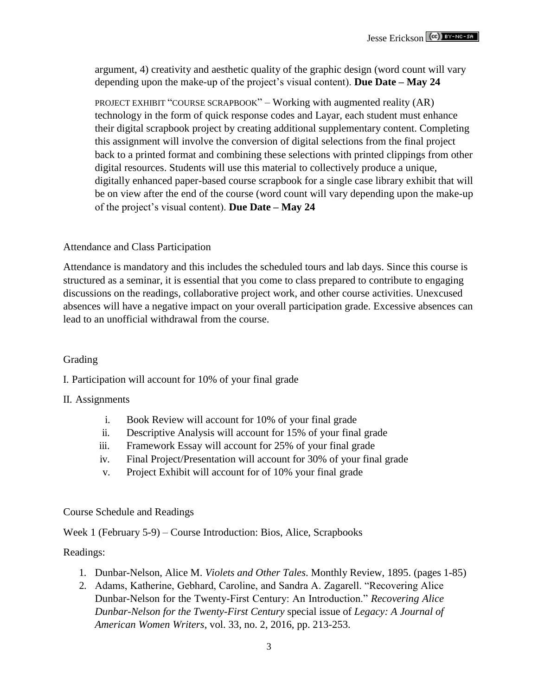argument, 4) creativity and aesthetic quality of the graphic design (word count will vary depending upon the make-up of the project's visual content). **Due Date – May 24**

PROJECT EXHIBIT "COURSE SCRAPBOOK" – Working with augmented reality (AR) technology in the form of quick response codes and Layar, each student must enhance their digital scrapbook project by creating additional supplementary content. Completing this assignment will involve the conversion of digital selections from the final project back to a printed format and combining these selections with printed clippings from other digital resources. Students will use this material to collectively produce a unique, digitally enhanced paper-based course scrapbook for a single case library exhibit that will be on view after the end of the course (word count will vary depending upon the make-up of the project's visual content). **Due Date – May 24**

## Attendance and Class Participation

Attendance is mandatory and this includes the scheduled tours and lab days. Since this course is structured as a seminar, it is essential that you come to class prepared to contribute to engaging discussions on the readings, collaborative project work, and other course activities. Unexcused absences will have a negative impact on your overall participation grade. Excessive absences can lead to an unofficial withdrawal from the course.

## Grading

I. Participation will account for 10% of your final grade

#### II. Assignments

- i. Book Review will account for 10% of your final grade
- ii. Descriptive Analysis will account for 15% of your final grade
- iii. Framework Essay will account for 25% of your final grade
- iv. Final Project/Presentation will account for 30% of your final grade
- v. Project Exhibit will account for of 10% your final grade

## Course Schedule and Readings

Week 1 (February 5-9) – Course Introduction: Bios, Alice, Scrapbooks

## Readings:

- 1. Dunbar-Nelson, Alice M. *Violets and Other Tales*. Monthly Review, 1895. (pages 1-85)
- 2. Adams, Katherine, Gebhard, Caroline, and Sandra A. Zagarell. "Recovering Alice Dunbar-Nelson for the Twenty-First Century: An Introduction." *Recovering Alice Dunbar-Nelson for the Twenty-First Century* special issue of *Legacy: A Journal of American Women Writers*, vol. 33, no. 2, 2016, pp. 213-253.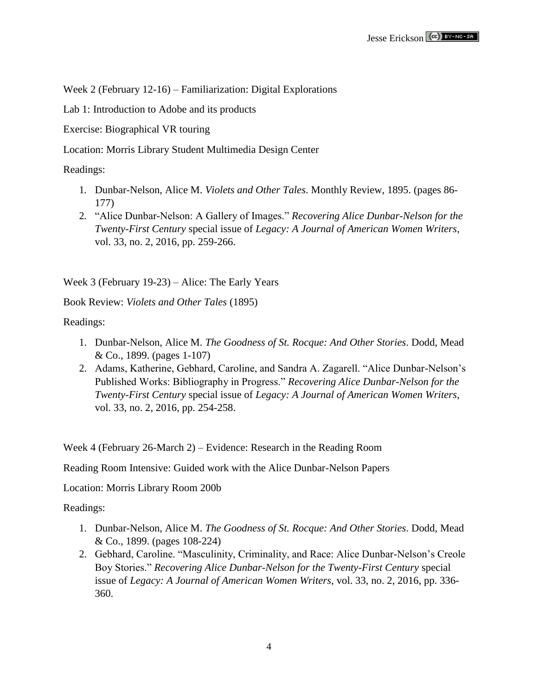Week 2 (February 12-16) – Familiarization: Digital Explorations

Lab 1: Introduction to Adobe and its products

Exercise: Biographical VR touring

Location: Morris Library Student Multimedia Design Center

Readings:

- 1. Dunbar-Nelson, Alice M. *Violets and Other Tales*. Monthly Review, 1895. (pages 86- 177)
- 2. "Alice Dunbar-Nelson: A Gallery of Images." *Recovering Alice Dunbar-Nelson for the Twenty-First Century* special issue of *Legacy: A Journal of American Women Writers*, vol. 33, no. 2, 2016, pp. 259-266.

Week 3 (February 19-23) – Alice: The Early Years

Book Review: *Violets and Other Tales* (1895)

Readings:

- 1. Dunbar-Nelson, Alice M. *The Goodness of St. Rocque: And Other Stories*. Dodd, Mead & Co., 1899. (pages 1-107)
- 2. Adams, Katherine, Gebhard, Caroline, and Sandra A. Zagarell. "Alice Dunbar-Nelson's Published Works: Bibliography in Progress." *Recovering Alice Dunbar-Nelson for the Twenty-First Century* special issue of *Legacy: A Journal of American Women Writers*, vol. 33, no. 2, 2016, pp. 254-258.

Week 4 (February 26-March 2) – Evidence: Research in the Reading Room

Reading Room Intensive: Guided work with the Alice Dunbar-Nelson Papers

Location: Morris Library Room 200b

Readings:

- 1. Dunbar-Nelson, Alice M. *The Goodness of St. Rocque: And Other Stories*. Dodd, Mead & Co., 1899. (pages 108-224)
- 2. Gebhard, Caroline. "Masculinity, Criminality, and Race: Alice Dunbar-Nelson's Creole Boy Stories." *Recovering Alice Dunbar-Nelson for the Twenty-First Century* special issue of *Legacy: A Journal of American Women Writers*, vol. 33, no. 2, 2016, pp. 336- 360.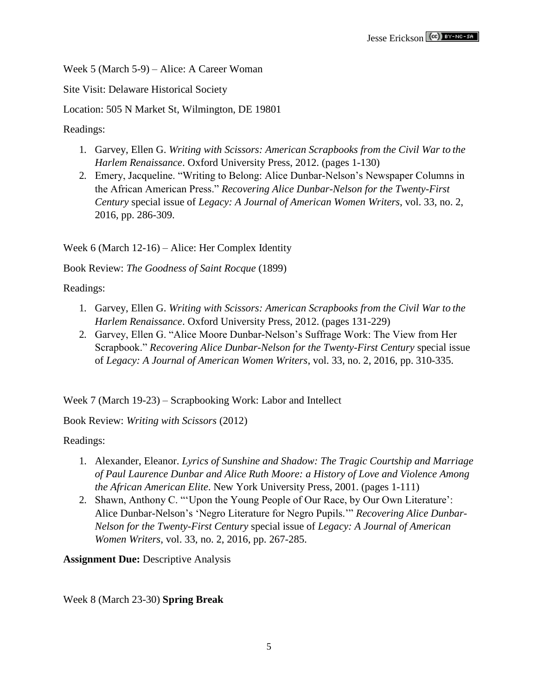Week 5 (March 5-9) – Alice: A Career Woman

Site Visit: Delaware Historical Society

Location: 505 N Market St, Wilmington, DE 19801

Readings:

- 1. Garvey, Ellen G. *Writing with Scissors: American Scrapbooks from the Civil War to the Harlem Renaissance*. Oxford University Press, 2012. (pages 1-130)
- 2. Emery, Jacqueline. "Writing to Belong: Alice Dunbar-Nelson's Newspaper Columns in the African American Press." *Recovering Alice Dunbar-Nelson for the Twenty-First Century* special issue of *Legacy: A Journal of American Women Writers*, vol. 33, no. 2, 2016, pp. 286-309.

Week 6 (March 12-16) – Alice: Her Complex Identity

Book Review: *The Goodness of Saint Rocque* (1899)

Readings:

- 1. Garvey, Ellen G. *Writing with Scissors: American Scrapbooks from the Civil War to the Harlem Renaissance*. Oxford University Press, 2012. (pages 131-229)
- 2. Garvey, Ellen G. "Alice Moore Dunbar-Nelson's Suffrage Work: The View from Her Scrapbook." *Recovering Alice Dunbar-Nelson for the Twenty-First Century* special issue of *Legacy: A Journal of American Women Writers*, vol. 33, no. 2, 2016, pp. 310-335.

Week 7 (March 19-23) – Scrapbooking Work: Labor and Intellect

Book Review: *Writing with Scissors* (2012)

Readings:

- 1. Alexander, Eleanor. *Lyrics of Sunshine and Shadow: The Tragic Courtship and Marriage of Paul Laurence Dunbar and Alice Ruth Moore: a History of Love and Violence Among the African American Elite*. New York University Press, 2001. (pages 1-111)
- 2. Shawn, Anthony C. "'Upon the Young People of Our Race, by Our Own Literature': Alice Dunbar-Nelson's 'Negro Literature for Negro Pupils.'" *Recovering Alice Dunbar-Nelson for the Twenty-First Century* special issue of *Legacy: A Journal of American Women Writers*, vol. 33, no. 2, 2016, pp. 267-285.

**Assignment Due: Descriptive Analysis** 

Week 8 (March 23-30) **Spring Break**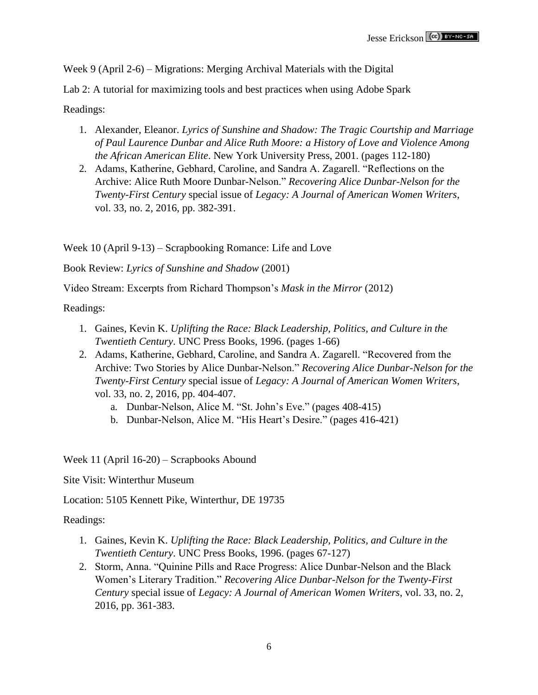Week 9 (April 2-6) – Migrations: Merging Archival Materials with the Digital

Lab 2: A tutorial for maximizing tools and best practices when using Adobe Spark

Readings:

- 1. Alexander, Eleanor. *Lyrics of Sunshine and Shadow: The Tragic Courtship and Marriage of Paul Laurence Dunbar and Alice Ruth Moore: a History of Love and Violence Among the African American Elite*. New York University Press, 2001. (pages 112-180)
- 2. Adams, Katherine, Gebhard, Caroline, and Sandra A. Zagarell. "Reflections on the Archive: Alice Ruth Moore Dunbar-Nelson." *Recovering Alice Dunbar-Nelson for the Twenty-First Century* special issue of *Legacy: A Journal of American Women Writers*, vol. 33, no. 2, 2016, pp. 382-391.

Week 10 (April 9-13) – Scrapbooking Romance: Life and Love

Book Review: *Lyrics of Sunshine and Shadow* (2001)

Video Stream: Excerpts from Richard Thompson's *Mask in the Mirror* (2012)

Readings:

- 1. Gaines, Kevin K. *Uplifting the Race: Black Leadership, Politics, and Culture in the Twentieth Century*. UNC Press Books, 1996. (pages 1-66)
- 2. Adams, Katherine, Gebhard, Caroline, and Sandra A. Zagarell. "Recovered from the Archive: Two Stories by Alice Dunbar-Nelson." *Recovering Alice Dunbar-Nelson for the Twenty-First Century* special issue of *Legacy: A Journal of American Women Writers*, vol. 33, no. 2, 2016, pp. 404-407.
	- a. Dunbar-Nelson, Alice M. "St. John's Eve." (pages 408-415)
	- b. Dunbar-Nelson, Alice M. "His Heart's Desire." (pages 416-421)

Week 11 (April 16-20) – Scrapbooks Abound

Site Visit: Winterthur Museum

Location: 5105 Kennett Pike, Winterthur, DE 19735

Readings:

- 1. Gaines, Kevin K. *Uplifting the Race: Black Leadership, Politics, and Culture in the Twentieth Century*. UNC Press Books, 1996. (pages 67-127)
- 2. Storm, Anna. "Quinine Pills and Race Progress: Alice Dunbar-Nelson and the Black Women's Literary Tradition." *Recovering Alice Dunbar-Nelson for the Twenty-First Century* special issue of *Legacy: A Journal of American Women Writers*, vol. 33, no. 2, 2016, pp. 361-383.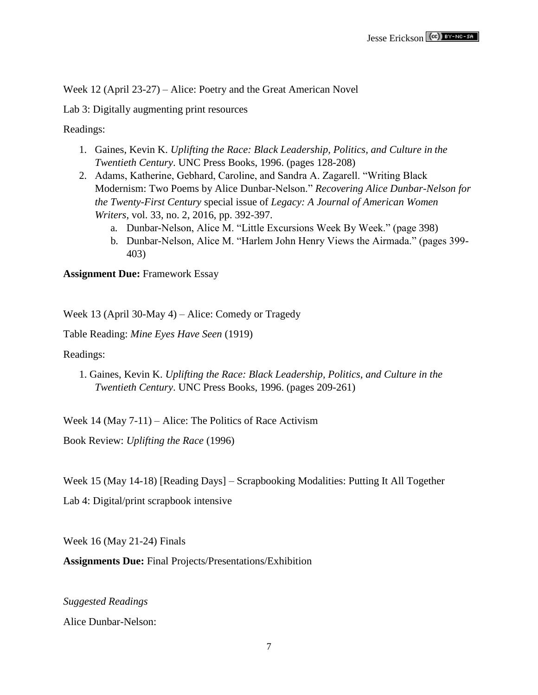Week 12 (April 23-27) – Alice: Poetry and the Great American Novel

Lab 3: Digitally augmenting print resources

Readings:

- 1. Gaines, Kevin K. *Uplifting the Race: Black Leadership, Politics, and Culture in the Twentieth Century*. UNC Press Books, 1996. (pages 128-208)
- 2. Adams, Katherine, Gebhard, Caroline, and Sandra A. Zagarell. "Writing Black Modernism: Two Poems by Alice Dunbar-Nelson." *Recovering Alice Dunbar-Nelson for the Twenty-First Century* special issue of *Legacy: A Journal of American Women Writers*, vol. 33, no. 2, 2016, pp. 392-397.
	- a. Dunbar-Nelson, Alice M. "Little Excursions Week By Week." (page 398)
	- b. Dunbar-Nelson, Alice M. "Harlem John Henry Views the Airmada." (pages 399- 403)

### **Assignment Due:** Framework Essay

Week 13 (April 30-May 4) – Alice: Comedy or Tragedy

Table Reading: *Mine Eyes Have Seen* (1919)

Readings:

1. Gaines, Kevin K. *Uplifting the Race: Black Leadership, Politics, and Culture in the Twentieth Century*. UNC Press Books, 1996. (pages 209-261)

Week 14 (May 7-11) – Alice: The Politics of Race Activism

Book Review: *Uplifting the Race* (1996)

Week 15 (May 14-18) [Reading Days] – Scrapbooking Modalities: Putting It All Together

Lab 4: Digital/print scrapbook intensive

Week 16 (May 21-24) Finals

**Assignments Due:** Final Projects/Presentations/Exhibition

*Suggested Readings*

Alice Dunbar-Nelson: